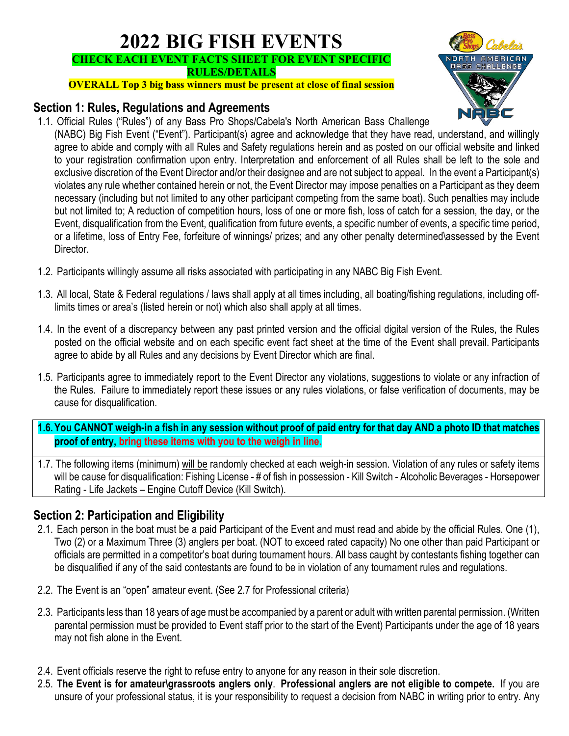# **2022 BIG FISH EVENTS CHECK EACH EVENT FACTS SHEET FOR EVENT SPECIFIC RULES/DETAILS**

**OVERALL Top 3 big bass winners must be present at close of final session**

### **Section 1: Rules, Regulations and Agreements**

1.1. Official Rules ("Rules") of any Bass Pro Shops/Cabela's North American Bass Challenge



- (NABC) Big Fish Event ("Event"). Participant(s) agree and acknowledge that they have read, understand, and willingly agree to abide and comply with all Rules and Safety regulations herein and as posted on our official website and linked to your registration confirmation upon entry. Interpretation and enforcement of all Rules shall be left to the sole and exclusive discretion of the Event Director and/or their designee and are not subject to appeal. In the event a Participant(s) violates any rule whether contained herein or not, the Event Director may impose penalties on a Participant as they deem necessary (including but not limited to any other participant competing from the same boat). Such penalties may include but not limited to; A reduction of competition hours, loss of one or more fish, loss of catch for a session, the day, or the Event, disqualification from the Event, qualification from future events, a specific number of events, a specific time period, or a lifetime, loss of Entry Fee, forfeiture of winnings/ prizes; and any other penalty determined\assessed by the Event Director.
- 1.2. Participants willingly assume all risks associated with participating in any NABC Big Fish Event.
- 1.3. All local, State & Federal regulations / laws shall apply at all times including, all boating/fishing regulations, including offlimits times or area's (listed herein or not) which also shall apply at all times.
- 1.4. In the event of a discrepancy between any past printed version and the official digital version of the Rules, the Rules posted on the official website and on each specific event fact sheet at the time of the Event shall prevail. Participants agree to abide by all Rules and any decisions by Event Director which are final.
- 1.5. Participants agree to immediately report to the Event Director any violations, suggestions to violate or any infraction of the Rules. Failure to immediately report these issues or any rules violations, or false verification of documents, may be cause for disqualification.
- **1.6.You CANNOT weigh-in a fish in any session without proof of paid entry for that day AND a photo ID that matches proof of entry, bring these items with you to the weigh in line.**
- 1.7. The following items (minimum) will be randomly checked at each weigh-in session. Violation of any rules or safety items will be cause for disqualification: Fishing License - # of fish in possession - Kill Switch - Alcoholic Beverages - Horsepower Rating - Life Jackets – Engine Cutoff Device (Kill Switch).

# **Section 2: Participation and Eligibility**

- 2.1. Each person in the boat must be a paid Participant of the Event and must read and abide by the official Rules. One (1), Two (2) or a Maximum Three (3) anglers per boat. (NOT to exceed rated capacity) No one other than paid Participant or officials are permitted in a competitor's boat during tournament hours. All bass caught by contestants fishing together can be disqualified if any of the said contestants are found to be in violation of any tournament rules and regulations.
- 2.2. The Event is an "open" amateur event. (See 2.7 for Professional criteria)
- 2.3. Participants less than 18 years of age must be accompanied by a parent or adult with written parental permission. (Written parental permission must be provided to Event staff prior to the start of the Event) Participants under the age of 18 years may not fish alone in the Event.
- 2.4. Event officials reserve the right to refuse entry to anyone for any reason in their sole discretion.
- 2.5. **The Event is for amateur\grassroots anglers only**. **Professional anglers are not eligible to compete.** If you are unsure of your professional status, it is your responsibility to request a decision from NABC in writing prior to entry. Any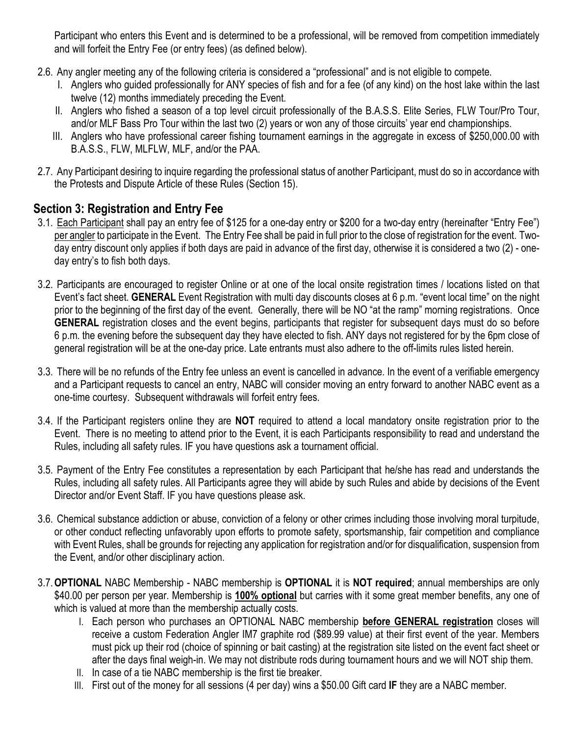Participant who enters this Event and is determined to be a professional, will be removed from competition immediately and will forfeit the Entry Fee (or entry fees) (as defined below).

- 2.6. Any angler meeting any of the following criteria is considered a "professional" and is not eligible to compete.
	- I. Anglers who guided professionally for ANY species of fish and for a fee (of any kind) on the host lake within the last twelve (12) months immediately preceding the Event.
	- II. Anglers who fished a season of a top level circuit professionally of the B.A.S.S. Elite Series, FLW Tour/Pro Tour, and/or MLF Bass Pro Tour within the last two (2) years or won any of those circuits' year end championships.
	- III. Anglers who have professional career fishing tournament earnings in the aggregate in excess of \$250,000.00 with B.A.S.S., FLW, MLFLW, MLF, and/or the PAA.
- 2.7. Any Participant desiring to inquire regarding the professional status of another Participant, must do so in accordance with the Protests and Dispute Article of these Rules (Section 15).

# **Section 3: Registration and Entry Fee**

- 3.1. Each Participant shall pay an entry fee of \$125 for a one-day entry or \$200 for a two-day entry (hereinafter "Entry Fee") per angler to participate in the Event. The Entry Fee shall be paid in full prior to the close of registration for the event. Twoday entry discount only applies if both days are paid in advance of the first day, otherwise it is considered a two (2) - oneday entry's to fish both days.
- 3.2. Participants are encouraged to register Online or at one of the local onsite registration times / locations listed on that Event's fact sheet. **GENERAL** Event Registration with multi day discounts closes at 6 p.m. "event local time" on the night prior to the beginning of the first day of the event. Generally, there will be NO "at the ramp" morning registrations. Once **GENERAL** registration closes and the event begins, participants that register for subsequent days must do so before 6 p.m. the evening before the subsequent day they have elected to fish. ANY days not registered for by the 6pm close of general registration will be at the one-day price. Late entrants must also adhere to the off-limits rules listed herein.
- 3.3. There will be no refunds of the Entry fee unless an event is cancelled in advance. In the event of a verifiable emergency and a Participant requests to cancel an entry, NABC will consider moving an entry forward to another NABC event as a one-time courtesy. Subsequent withdrawals will forfeit entry fees.
- 3.4. If the Participant registers online they are **NOT** required to attend a local mandatory onsite registration prior to the Event. There is no meeting to attend prior to the Event, it is each Participants responsibility to read and understand the Rules, including all safety rules. IF you have questions ask a tournament official.
- 3.5. Payment of the Entry Fee constitutes a representation by each Participant that he/she has read and understands the Rules, including all safety rules. All Participants agree they will abide by such Rules and abide by decisions of the Event Director and/or Event Staff. IF you have questions please ask.
- 3.6. Chemical substance addiction or abuse, conviction of a felony or other crimes including those involving moral turpitude, or other conduct reflecting unfavorably upon efforts to promote safety, sportsmanship, fair competition and compliance with Event Rules, shall be grounds for rejecting any application for registration and/or for disqualification, suspension from the Event, and/or other disciplinary action.
- 3.7.**OPTIONAL** NABC Membership NABC membership is **OPTIONAL** it is **NOT required**; annual memberships are only \$40.00 per person per year. Membership is **100% optional** but carries with it some great member benefits, any one of which is valued at more than the membership actually costs.
	- I. Each person who purchases an OPTIONAL NABC membership **before GENERAL registration** closes will receive a custom Federation Angler IM7 graphite rod (\$89.99 value) at their first event of the year. Members must pick up their rod (choice of spinning or bait casting) at the registration site listed on the event fact sheet or after the days final weigh-in. We may not distribute rods during tournament hours and we will NOT ship them.
	- II. In case of a tie NABC membership is the first tie breaker.
	- III. First out of the money for all sessions (4 per day) wins a \$50.00 Gift card **IF** they are a NABC member.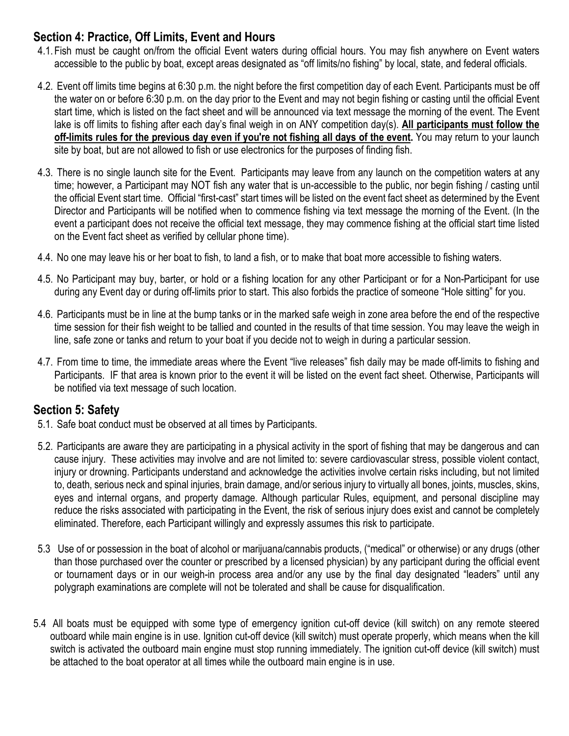# **Section 4: Practice, Off Limits, Event and Hours**

- 4.1.Fish must be caught on/from the official Event waters during official hours. You may fish anywhere on Event waters accessible to the public by boat, except areas designated as "off limits/no fishing" by local, state, and federal officials.
- 4.2. Event off limits time begins at 6:30 p.m. the night before the first competition day of each Event. Participants must be off the water on or before 6:30 p.m. on the day prior to the Event and may not begin fishing or casting until the official Event start time, which is listed on the fact sheet and will be announced via text message the morning of the event. The Event lake is off limits to fishing after each day's final weigh in on ANY competition day(s). **All participants must follow the off-limits rules for the previous day even if you're not fishing all days of the event.** You may return to your launch site by boat, but are not allowed to fish or use electronics for the purposes of finding fish.
- 4.3. There is no single launch site for the Event. Participants may leave from any launch on the competition waters at any time; however, a Participant may NOT fish any water that is un-accessible to the public, nor begin fishing / casting until the official Event start time. Official "first-cast" start times will be listed on the event fact sheet as determined by the Event Director and Participants will be notified when to commence fishing via text message the morning of the Event. (In the event a participant does not receive the official text message, they may commence fishing at the official start time listed on the Event fact sheet as verified by cellular phone time).
- 4.4. No one may leave his or her boat to fish, to land a fish, or to make that boat more accessible to fishing waters.
- 4.5. No Participant may buy, barter, or hold or a fishing location for any other Participant or for a Non-Participant for use during any Event day or during off-limits prior to start. This also forbids the practice of someone "Hole sitting" for you.
- 4.6. Participants must be in line at the bump tanks or in the marked safe weigh in zone area before the end of the respective time session for their fish weight to be tallied and counted in the results of that time session. You may leave the weigh in line, safe zone or tanks and return to your boat if you decide not to weigh in during a particular session.
- 4.7. From time to time, the immediate areas where the Event "live releases" fish daily may be made off-limits to fishing and Participants. IF that area is known prior to the event it will be listed on the event fact sheet. Otherwise, Participants will be notified via text message of such location.

# **Section 5: Safety**

- 5.1. Safe boat conduct must be observed at all times by Participants.
- 5.2. Participants are aware they are participating in a physical activity in the sport of fishing that may be dangerous and can cause injury. These activities may involve and are not limited to: severe cardiovascular stress, possible violent contact, injury or drowning. Participants understand and acknowledge the activities involve certain risks including, but not limited to, death, serious neck and spinal injuries, brain damage, and/or serious injury to virtually all bones, joints, muscles, skins, eyes and internal organs, and property damage. Although particular Rules, equipment, and personal discipline may reduce the risks associated with participating in the Event, the risk of serious injury does exist and cannot be completely eliminated. Therefore, each Participant willingly and expressly assumes this risk to participate.
- 5.3 Use of or possession in the boat of alcohol or marijuana/cannabis products, ("medical" or otherwise) or any drugs (other than those purchased over the counter or prescribed by a licensed physician) by any participant during the official event or tournament days or in our weigh-in process area and/or any use by the final day designated "leaders" until any polygraph examinations are complete will not be tolerated and shall be cause for disqualification.
- 5.4 All boats must be equipped with some type of emergency ignition cut-off device (kill switch) on any remote steered outboard while main engine is in use. Ignition cut-off device (kill switch) must operate properly, which means when the kill switch is activated the outboard main engine must stop running immediately. The ignition cut-off device (kill switch) must be attached to the boat operator at all times while the outboard main engine is in use.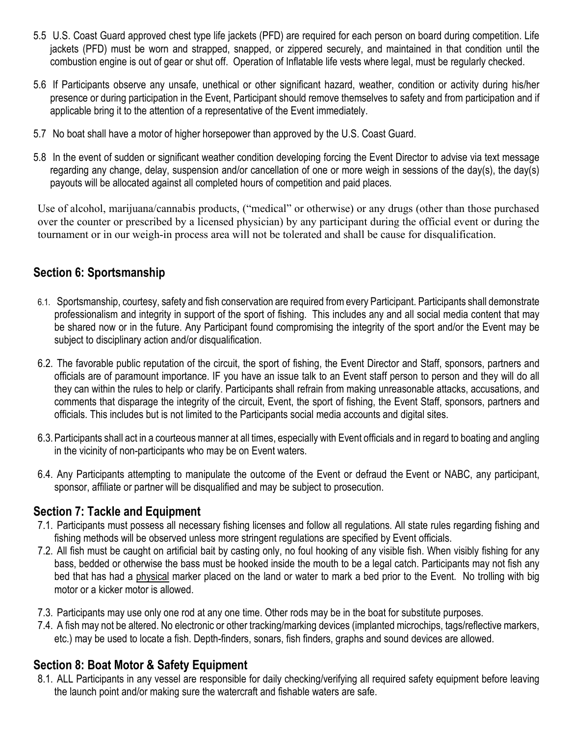- 5.5 U.S. Coast Guard approved chest type life jackets (PFD) are required for each person on board during competition. Life jackets (PFD) must be worn and strapped, snapped, or zippered securely, and maintained in that condition until the combustion engine is out of gear or shut off. Operation of Inflatable life vests where legal, must be regularly checked.
- 5.6 If Participants observe any unsafe, unethical or other significant hazard, weather, condition or activity during his/her presence or during participation in the Event, Participant should remove themselves to safety and from participation and if applicable bring it to the attention of a representative of the Event immediately.
- 5.7 No boat shall have a motor of higher horsepower than approved by the U.S. Coast Guard.
- 5.8 In the event of sudden or significant weather condition developing forcing the Event Director to advise via text message regarding any change, delay, suspension and/or cancellation of one or more weigh in sessions of the day(s), the day(s) payouts will be allocated against all completed hours of competition and paid places.

Use of alcohol, marijuana/cannabis products, ("medical" or otherwise) or any drugs (other than those purchased over the counter or prescribed by a licensed physician) by any participant during the official event or during the tournament or in our weigh-in process area will not be tolerated and shall be cause for disqualification.

# **Section 6: Sportsmanship**

- 6.1. Sportsmanship, courtesy, safety and fish conservation are required from every Participant. Participants shall demonstrate professionalism and integrity in support of the sport of fishing. This includes any and all social media content that may be shared now or in the future. Any Participant found compromising the integrity of the sport and/or the Event may be subject to disciplinary action and/or disqualification.
- 6.2. The favorable public reputation of the circuit, the sport of fishing, the Event Director and Staff, sponsors, partners and officials are of paramount importance. IF you have an issue talk to an Event staff person to person and they will do all they can within the rules to help or clarify. Participants shall refrain from making unreasonable attacks, accusations, and comments that disparage the integrity of the circuit, Event, the sport of fishing, the Event Staff, sponsors, partners and officials. This includes but is not limited to the Participants social media accounts and digital sites.
- 6.3.Participants shall act in a courteous manner at all times, especially with Event officials and in regard to boating and angling in the vicinity of non-participants who may be on Event waters.
- 6.4. Any Participants attempting to manipulate the outcome of the Event or defraud the Event or NABC, any participant, sponsor, affiliate or partner will be disqualified and may be subject to prosecution.

#### **Section 7: Tackle and Equipment**

- 7.1. Participants must possess all necessary fishing licenses and follow all regulations. All state rules regarding fishing and fishing methods will be observed unless more stringent regulations are specified by Event officials.
- 7.2. All fish must be caught on artificial bait by casting only, no foul hooking of any visible fish. When visibly fishing for any bass, bedded or otherwise the bass must be hooked inside the mouth to be a legal catch. Participants may not fish any bed that has had a physical marker placed on the land or water to mark a bed prior to the Event. No trolling with big motor or a kicker motor is allowed.
- 7.3. Participants may use only one rod at any one time. Other rods may be in the boat for substitute purposes.
- 7.4. A fish may not be altered. No electronic or other tracking/marking devices (implanted microchips, tags/reflective markers, etc.) may be used to locate a fish. Depth-finders, sonars, fish finders, graphs and sound devices are allowed.

# **Section 8: Boat Motor & Safety Equipment**

8.1. ALL Participants in any vessel are responsible for daily checking/verifying all required safety equipment before leaving the launch point and/or making sure the watercraft and fishable waters are safe.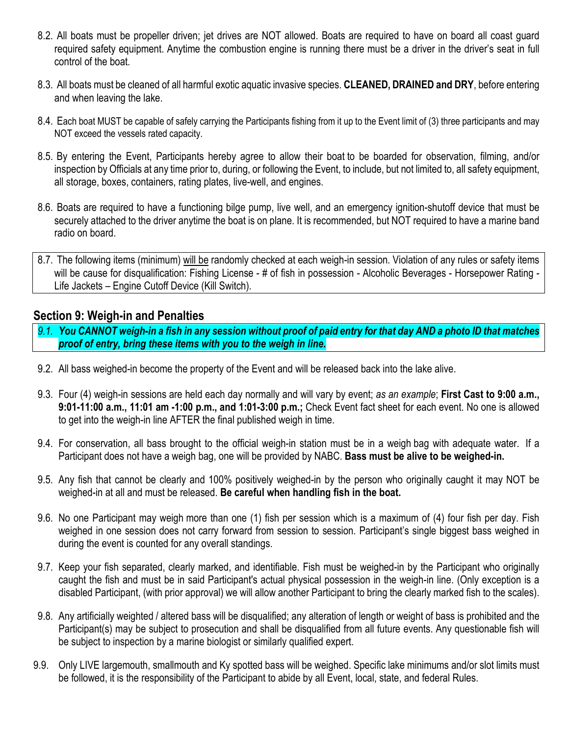- 8.2. All boats must be propeller driven; jet drives are NOT allowed. Boats are required to have on board all coast guard required safety equipment. Anytime the combustion engine is running there must be a driver in the driver's seat in full control of the boat.
- 8.3. All boats must be cleaned of all harmful exotic aquatic invasive species. **CLEANED, DRAINED and DRY**, before entering and when leaving the lake.
- 8.4. Each boat MUST be capable of safely carrying the Participants fishing from it up to the Event limit of (3) three participants and may NOT exceed the vessels rated capacity.
- 8.5. By entering the Event, Participants hereby agree to allow their boat to be boarded for observation, filming, and/or inspection by Officials at any time prior to, during, or following the Event, to include, but not limited to, all safety equipment, all storage, boxes, containers, rating plates, live-well, and engines.
- 8.6. Boats are required to have a functioning bilge pump, live well, and an emergency ignition-shutoff device that must be securely attached to the driver anytime the boat is on plane. It is recommended, but NOT required to have a marine band radio on board.
- 8.7. The following items (minimum) will be randomly checked at each weigh-in session. Violation of any rules or safety items will be cause for disqualification: Fishing License - # of fish in possession - Alcoholic Beverages - Horsepower Rating -Life Jackets – Engine Cutoff Device (Kill Switch).

#### **Section 9: Weigh-in and Penalties**

- *9.1. You CANNOT weigh-in a fish in any session without proof of paid entry for that day AND a photo ID that matches proof of entry, bring these items with you to the weigh in line.*
- 9.2. All bass weighed-in become the property of the Event and will be released back into the lake alive.
- 9.3. Four (4) weigh-in sessions are held each day normally and will vary by event; *as an example*; **First Cast to 9:00 a.m., 9:01-11:00 a.m., 11:01 am -1:00 p.m., and 1:01-3:00 p.m.;** Check Event fact sheet for each event. No one is allowed to get into the weigh-in line AFTER the final published weigh in time.
- 9.4. For conservation, all bass brought to the official weigh-in station must be in a weigh bag with adequate water. If a Participant does not have a weigh bag, one will be provided by NABC. **Bass must be alive to be weighed-in.**
- 9.5. Any fish that cannot be clearly and 100% positively weighed-in by the person who originally caught it may NOT be weighed-in at all and must be released. **Be careful when handling fish in the boat.**
- 9.6. No one Participant may weigh more than one (1) fish per session which is a maximum of (4) four fish per day. Fish weighed in one session does not carry forward from session to session. Participant's single biggest bass weighed in during the event is counted for any overall standings.
- 9.7. Keep your fish separated, clearly marked, and identifiable. Fish must be weighed-in by the Participant who originally caught the fish and must be in said Participant's actual physical possession in the weigh-in line. (Only exception is a disabled Participant, (with prior approval) we will allow another Participant to bring the clearly marked fish to the scales).
- 9.8. Any artificially weighted / altered bass will be disqualified; any alteration of length or weight of bass is prohibited and the Participant(s) may be subject to prosecution and shall be disqualified from all future events. Any questionable fish will be subject to inspection by a marine biologist or similarly qualified expert.
- 9.9. Only LIVE largemouth, smallmouth and Ky spotted bass will be weighed. Specific lake minimums and/or slot limits must be followed, it is the responsibility of the Participant to abide by all Event, local, state, and federal Rules.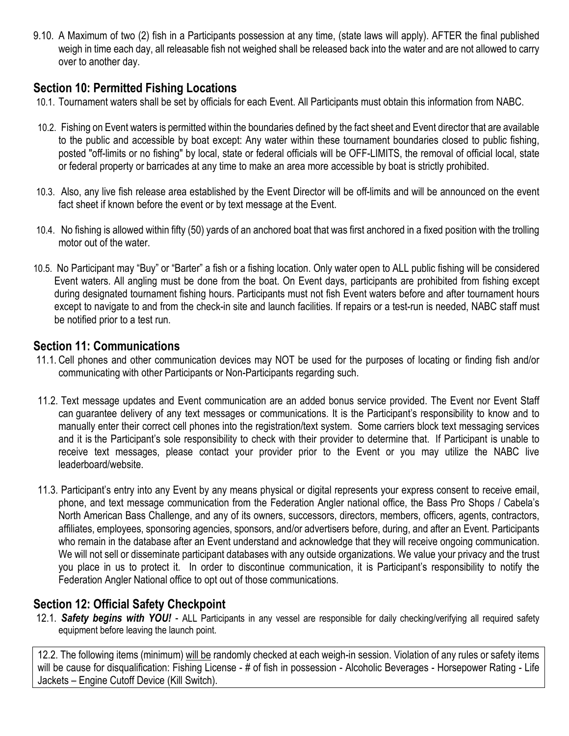9.10. A Maximum of two (2) fish in a Participants possession at any time, (state laws will apply). AFTER the final published weigh in time each day, all releasable fish not weighed shall be released back into the water and are not allowed to carry over to another day.

### **Section 10: Permitted Fishing Locations**

- 10.1. Tournament waters shall be set by officials for each Event. All Participants must obtain this information from NABC.
- 10.2. Fishing on Event waters is permitted within the boundaries defined by the fact sheet and Event director that are available to the public and accessible by boat except: Any water within these tournament boundaries closed to public fishing, posted "off-limits or no fishing" by local, state or federal officials will be OFF-LIMITS, the removal of official local, state or federal property or barricades at any time to make an area more accessible by boat is strictly prohibited.
- 10.3. Also, any live fish release area established by the Event Director will be off-limits and will be announced on the event fact sheet if known before the event or by text message at the Event.
- 10.4. No fishing is allowed within fifty (50) yards of an anchored boat that was first anchored in a fixed position with the trolling motor out of the water.
- 10.5. No Participant may "Buy" or "Barter" a fish or a fishing location. Only water open to ALL public fishing will be considered Event waters. All angling must be done from the boat. On Event days, participants are prohibited from fishing except during designated tournament fishing hours. Participants must not fish Event waters before and after tournament hours except to navigate to and from the check-in site and launch facilities. If repairs or a test-run is needed, NABC staff must be notified prior to a test run.

## **Section 11: Communications**

- 11.1. Cell phones and other communication devices may NOT be used for the purposes of locating or finding fish and/or communicating with other Participants or Non-Participants regarding such.
- 11.2. Text message updates and Event communication are an added bonus service provided. The Event nor Event Staff can guarantee delivery of any text messages or communications. It is the Participant's responsibility to know and to manually enter their correct cell phones into the registration/text system. Some carriers block text messaging services and it is the Participant's sole responsibility to check with their provider to determine that. If Participant is unable to receive text messages, please contact your provider prior to the Event or you may utilize the NABC live leaderboard/website.
- 11.3. Participant's entry into any Event by any means physical or digital represents your express consent to receive email, phone, and text message communication from the Federation Angler national office, the Bass Pro Shops / Cabela's North American Bass Challenge, and any of its owners, successors, directors, members, officers, agents, contractors, affiliates, employees, sponsoring agencies, sponsors, and/or advertisers before, during, and after an Event. Participants who remain in the database after an Event understand and acknowledge that they will receive ongoing communication. We will not sell or disseminate participant databases with any outside organizations. We value your privacy and the trust you place in us to protect it. In order to discontinue communication, it is Participant's responsibility to notify the Federation Angler National office to opt out of those communications.

# **Section 12: Official Safety Checkpoint**

12.1. *Safety begins with YOU!* - ALL Participants in any vessel are responsible for daily checking/verifying all required safety equipment before leaving the launch point.

12.2. The following items (minimum) will be randomly checked at each weigh-in session. Violation of any rules or safety items will be cause for disqualification: Fishing License - # of fish in possession - Alcoholic Beverages - Horsepower Rating - Life Jackets – Engine Cutoff Device (Kill Switch).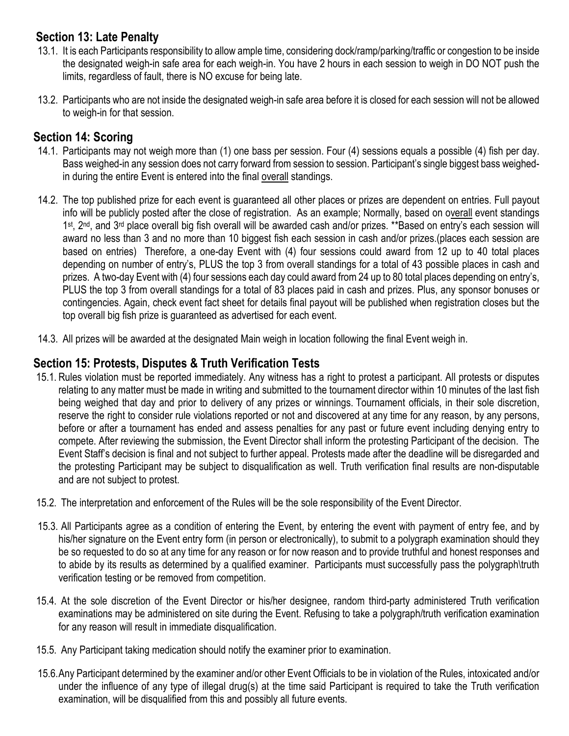# **Section 13: Late Penalty**

- 13.1. It is each Participants responsibility to allow ample time, considering dock/ramp/parking/traffic or congestion to be inside the designated weigh-in safe area for each weigh-in. You have 2 hours in each session to weigh in DO NOT push the limits, regardless of fault, there is NO excuse for being late.
- 13.2. Participants who are not inside the designated weigh-in safe area before it is closed for each session will not be allowed to weigh-in for that session.

# **Section 14: Scoring**

- 14.1. Participants may not weigh more than (1) one bass per session. Four (4) sessions equals a possible (4) fish per day. Bass weighed-in any session does not carry forward from session to session. Participant's single biggest bass weighedin during the entire Event is entered into the final overall standings.
- 14.2. The top published prize for each event is guaranteed all other places or prizes are dependent on entries. Full payout info will be publicly posted after the close of registration. As an example; Normally, based on overall event standings 1st, 2<sup>nd</sup>, and 3<sup>rd</sup> place overall big fish overall will be awarded cash and/or prizes. \*\*Based on entry's each session will award no less than 3 and no more than 10 biggest fish each session in cash and/or prizes.(places each session are based on entries) Therefore, a one-day Event with (4) four sessions could award from 12 up to 40 total places depending on number of entry's, PLUS the top 3 from overall standings for a total of 43 possible places in cash and prizes. A two-day Event with (4) four sessions each day could award from 24 up to 80 total places depending on entry's, PLUS the top 3 from overall standings for a total of 83 places paid in cash and prizes. Plus, any sponsor bonuses or contingencies. Again, check event fact sheet for details final payout will be published when registration closes but the top overall big fish prize is guaranteed as advertised for each event.
- 14.3. All prizes will be awarded at the designated Main weigh in location following the final Event weigh in.

# **Section 15: Protests, Disputes & Truth Verification Tests**

- 15.1. Rules violation must be reported immediately. Any witness has a right to protest a participant. All protests or disputes relating to any matter must be made in writing and submitted to the tournament director within 10 minutes of the last fish being weighed that day and prior to delivery of any prizes or winnings. Tournament officials, in their sole discretion, reserve the right to consider rule violations reported or not and discovered at any time for any reason, by any persons, before or after a tournament has ended and assess penalties for any past or future event including denying entry to compete. After reviewing the submission, the Event Director shall inform the protesting Participant of the decision. The Event Staff's decision is final and not subject to further appeal. Protests made after the deadline will be disregarded and the protesting Participant may be subject to disqualification as well. Truth verification final results are non-disputable and are not subject to protest.
- 15.2. The interpretation and enforcement of the Rules will be the sole responsibility of the Event Director.
- 15.3. All Participants agree as a condition of entering the Event, by entering the event with payment of entry fee, and by his/her signature on the Event entry form (in person or electronically), to submit to a polygraph examination should they be so requested to do so at any time for any reason or for now reason and to provide truthful and honest responses and to abide by its results as determined by a qualified examiner. Participants must successfully pass the polygraph\truth verification testing or be removed from competition.
- 15.4. At the sole discretion of the Event Director or his/her designee, random third-party administered Truth verification examinations may be administered on site during the Event. Refusing to take a polygraph/truth verification examination for any reason will result in immediate disqualification.
- 15.5. Any Participant taking medication should notify the examiner prior to examination.
- 15.6.Any Participant determined by the examiner and/or other Event Officials to be in violation of the Rules, intoxicated and/or under the influence of any type of illegal drug(s) at the time said Participant is required to take the Truth verification examination, will be disqualified from this and possibly all future events.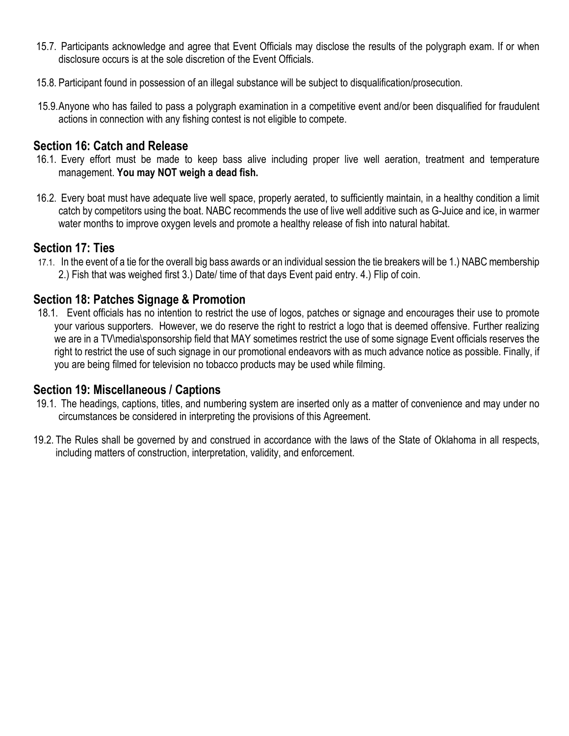- 15.7. Participants acknowledge and agree that Event Officials may disclose the results of the polygraph exam. If or when disclosure occurs is at the sole discretion of the Event Officials.
- 15.8. Participant found in possession of an illegal substance will be subject to disqualification/prosecution.
- 15.9.Anyone who has failed to pass a polygraph examination in a competitive event and/or been disqualified for fraudulent actions in connection with any fishing contest is not eligible to compete.

#### **Section 16: Catch and Release**

- 16.1. Every effort must be made to keep bass alive including proper live well aeration, treatment and temperature management. **You may NOT weigh a dead fish.**
- 16.2. Every boat must have adequate live well space, properly aerated, to sufficiently maintain, in a healthy condition a limit catch by competitors using the boat. NABC recommends the use of live well additive such as G-Juice and ice, in warmer water months to improve oxygen levels and promote a healthy release of fish into natural habitat.

#### **Section 17: Ties**

17.1. In the event of a tie for the overall big bass awards or an individual session the tie breakers will be 1.) NABC membership 2.) Fish that was weighed first 3.) Date/ time of that days Event paid entry. 4.) Flip of coin.

#### **Section 18: Patches Signage & Promotion**

18.1. Event officials has no intention to restrict the use of logos, patches or signage and encourages their use to promote your various supporters. However, we do reserve the right to restrict a logo that is deemed offensive. Further realizing we are in a TV\media\sponsorship field that MAY sometimes restrict the use of some signage Event officials reserves the right to restrict the use of such signage in our promotional endeavors with as much advance notice as possible. Finally, if you are being filmed for television no tobacco products may be used while filming.

#### **Section 19: Miscellaneous / Captions**

- 19.1. The headings, captions, titles, and numbering system are inserted only as a matter of convenience and may under no circumstances be considered in interpreting the provisions of this Agreement.
- 19.2. The Rules shall be governed by and construed in accordance with the laws of the State of Oklahoma in all respects, including matters of construction, interpretation, validity, and enforcement.